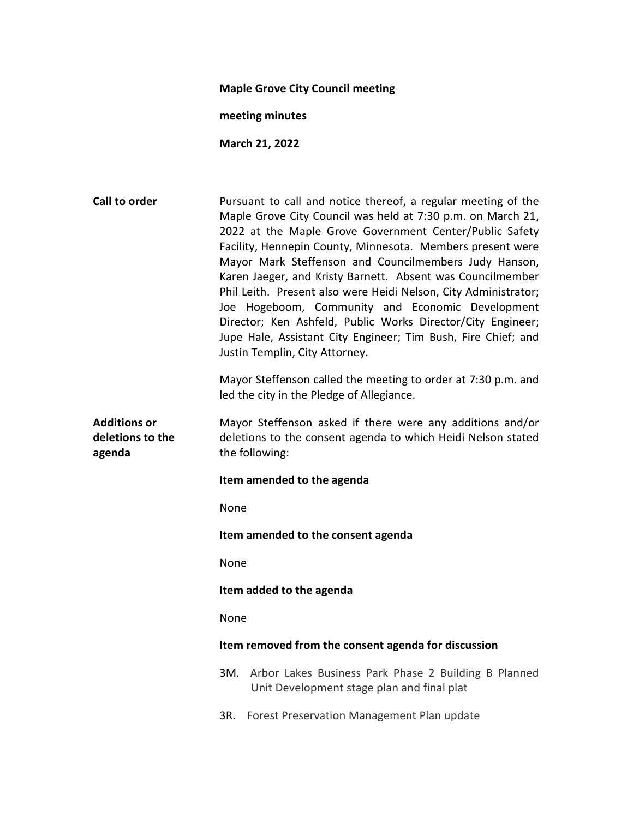#### Maple Grove City Council meeting

meeting minutes

March 21, 2022

Call to order **Pursuant to call and notice thereof**, a regular meeting of the Maple Grove City Council was held at 7:30 p.m. on March 21, 2022 at the Maple Grove Government Center/Public Safety Facility, Hennepin County, Minnesota. Members present were Mayor Mark Steffenson and Councilmembers Judy Hanson, Karen Jaeger, and Kristy Barnett. Absent was Councilmember Phil Leith. Present also were Heidi Nelson, City Administrator; Joe Hogeboom, Community and Economic Development Director; Ken Ashfeld, Public Works Director/City Engineer; Jupe Hale, Assistant City Engineer; Tim Bush, Fire Chief; and Justin Templin, City Attorney. Mayor Steffenson called the meeting to order at 7:30 p.m. and led the city in the Pledge of Allegiance. Additions or deletions to the agenda Mayor Steffenson asked if there were any additions and/or deletions to the consent agenda to which Heidi Nelson stated the following: Item amended to the agenda None Item amended to the consent agenda None Item added to the agenda None Item removed from the consent agenda for discussion 3M. Arbor Lakes Business Park Phase 2 Building B Planned Unit Development stage plan and final plat 3R. Forest Preservation Management Plan update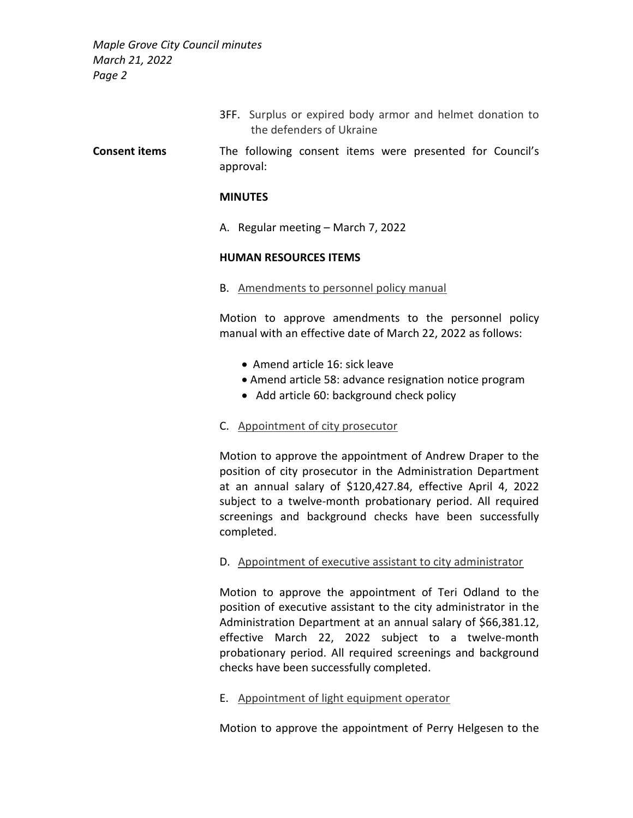> 3FF. Surplus or expired body armor and helmet donation to the defenders of Ukraine

Consent items The following consent items were presented for Council's approval:

#### **MINUTES**

A. Regular meeting – March 7, 2022

#### HUMAN RESOURCES ITEMS

B. Amendments to personnel policy manual

Motion to approve amendments to the personnel policy manual with an effective date of March 22, 2022 as follows:

- Amend article 16: sick leave
- Amend article 58: advance resignation notice program
- Add article 60: background check policy
- C. Appointment of city prosecutor

Motion to approve the appointment of Andrew Draper to the position of city prosecutor in the Administration Department at an annual salary of \$120,427.84, effective April 4, 2022 subject to a twelve-month probationary period. All required screenings and background checks have been successfully completed.

D. Appointment of executive assistant to city administrator

Motion to approve the appointment of Teri Odland to the position of executive assistant to the city administrator in the Administration Department at an annual salary of \$66,381.12, effective March 22, 2022 subject to a twelve-month probationary period. All required screenings and background checks have been successfully completed.

E. Appointment of light equipment operator

Motion to approve the appointment of Perry Helgesen to the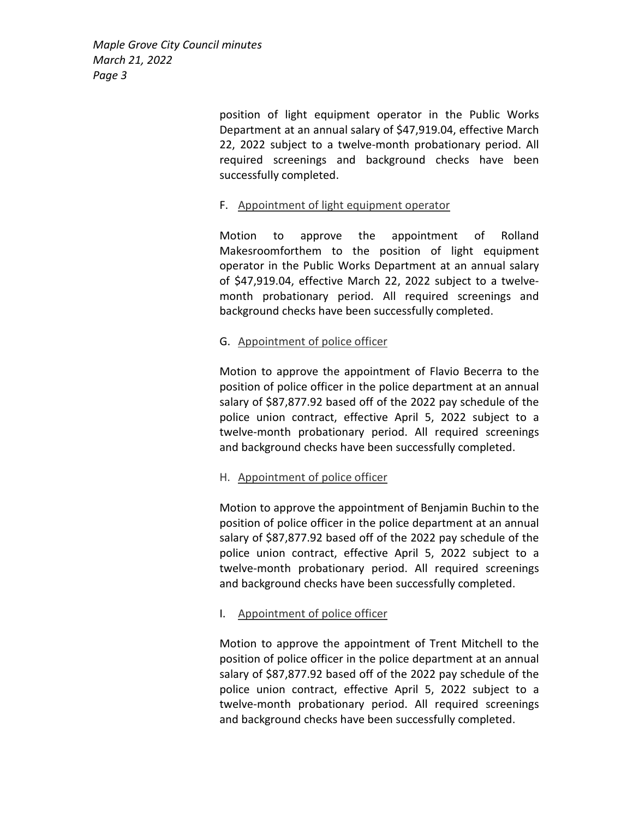> position of light equipment operator in the Public Works Department at an annual salary of \$47,919.04, effective March 22, 2022 subject to a twelve-month probationary period. All required screenings and background checks have been successfully completed.

# F. Appointment of light equipment operator

Motion to approve the appointment of Rolland Makesroomforthem to the position of light equipment operator in the Public Works Department at an annual salary of \$47,919.04, effective March 22, 2022 subject to a twelvemonth probationary period. All required screenings and background checks have been successfully completed.

# G. Appointment of police officer

Motion to approve the appointment of Flavio Becerra to the position of police officer in the police department at an annual salary of \$87,877.92 based off of the 2022 pay schedule of the police union contract, effective April 5, 2022 subject to a twelve-month probationary period. All required screenings and background checks have been successfully completed.

# H. Appointment of police officer

Motion to approve the appointment of Benjamin Buchin to the position of police officer in the police department at an annual salary of \$87,877.92 based off of the 2022 pay schedule of the police union contract, effective April 5, 2022 subject to a twelve-month probationary period. All required screenings and background checks have been successfully completed.

# I. Appointment of police officer

Motion to approve the appointment of Trent Mitchell to the position of police officer in the police department at an annual salary of \$87,877.92 based off of the 2022 pay schedule of the police union contract, effective April 5, 2022 subject to a twelve-month probationary period. All required screenings and background checks have been successfully completed.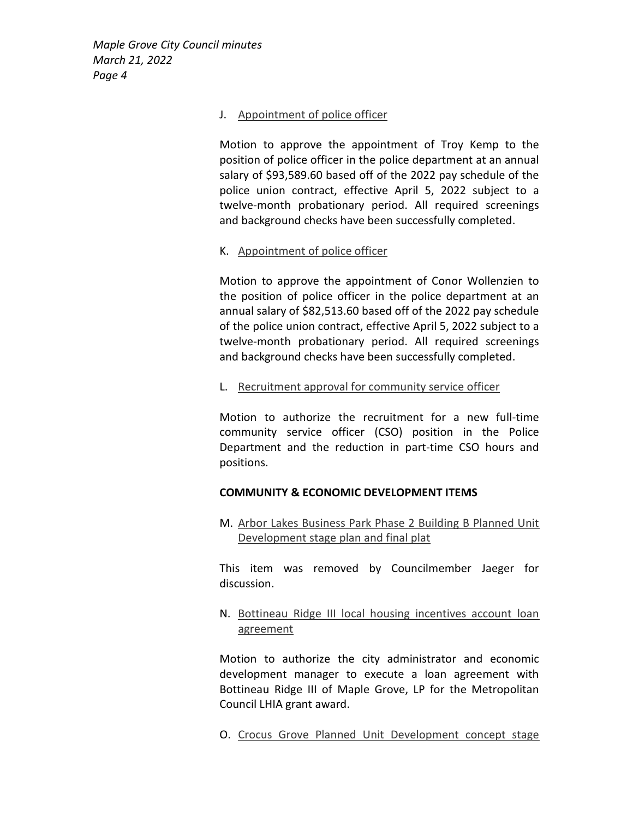### J. Appointment of police officer

Motion to approve the appointment of Troy Kemp to the position of police officer in the police department at an annual salary of \$93,589.60 based off of the 2022 pay schedule of the police union contract, effective April 5, 2022 subject to a twelve-month probationary period. All required screenings and background checks have been successfully completed.

# K. Appointment of police officer

Motion to approve the appointment of Conor Wollenzien to the position of police officer in the police department at an annual salary of \$82,513.60 based off of the 2022 pay schedule of the police union contract, effective April 5, 2022 subject to a twelve-month probationary period. All required screenings and background checks have been successfully completed.

# L. Recruitment approval for community service officer

Motion to authorize the recruitment for a new full-time community service officer (CSO) position in the Police Department and the reduction in part-time CSO hours and positions.

# COMMUNITY & ECONOMIC DEVELOPMENT ITEMS

M. Arbor Lakes Business Park Phase 2 Building B Planned Unit Development stage plan and final plat

This item was removed by Councilmember Jaeger for discussion.

N. Bottineau Ridge III local housing incentives account loan agreement

Motion to authorize the city administrator and economic development manager to execute a loan agreement with Bottineau Ridge III of Maple Grove, LP for the Metropolitan Council LHIA grant award.

O. Crocus Grove Planned Unit Development concept stage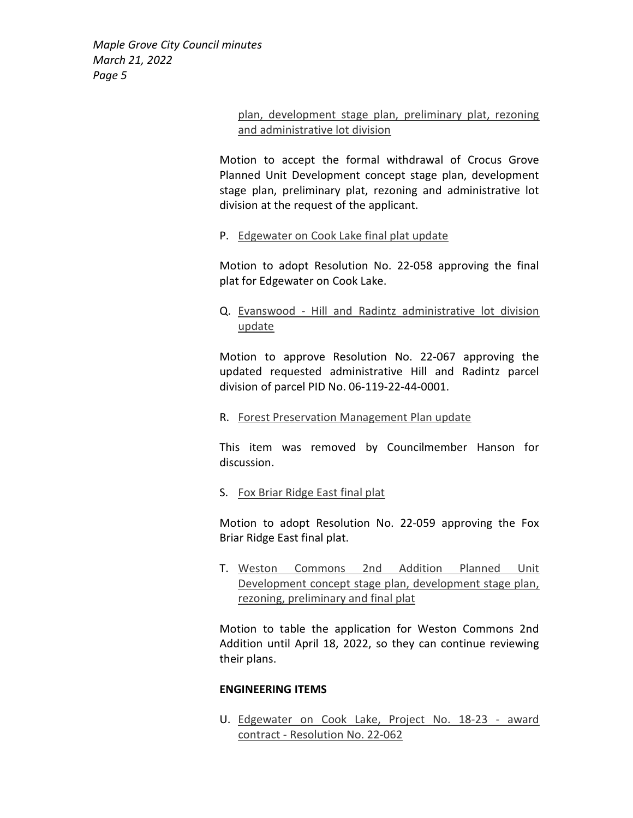# plan, development stage plan, preliminary plat, rezoning and administrative lot division

Motion to accept the formal withdrawal of Crocus Grove Planned Unit Development concept stage plan, development stage plan, preliminary plat, rezoning and administrative lot division at the request of the applicant.

# P. Edgewater on Cook Lake final plat update

Motion to adopt Resolution No. 22-058 approving the final plat for Edgewater on Cook Lake.

# Q. Evanswood - Hill and Radintz administrative lot division update

Motion to approve Resolution No. 22-067 approving the updated requested administrative Hill and Radintz parcel division of parcel PID No. 06-119-22-44-0001.

# R. Forest Preservation Management Plan update

This item was removed by Councilmember Hanson for discussion.

# S. Fox Briar Ridge East final plat

Motion to adopt Resolution No. 22-059 approving the Fox Briar Ridge East final plat.

T. Weston Commons 2nd Addition Planned Unit Development concept stage plan, development stage plan, rezoning, preliminary and final plat

Motion to table the application for Weston Commons 2nd Addition until April 18, 2022, so they can continue reviewing their plans.

# ENGINEERING ITEMS

U. Edgewater on Cook Lake, Project No. 18-23 - award contract - Resolution No. 22-062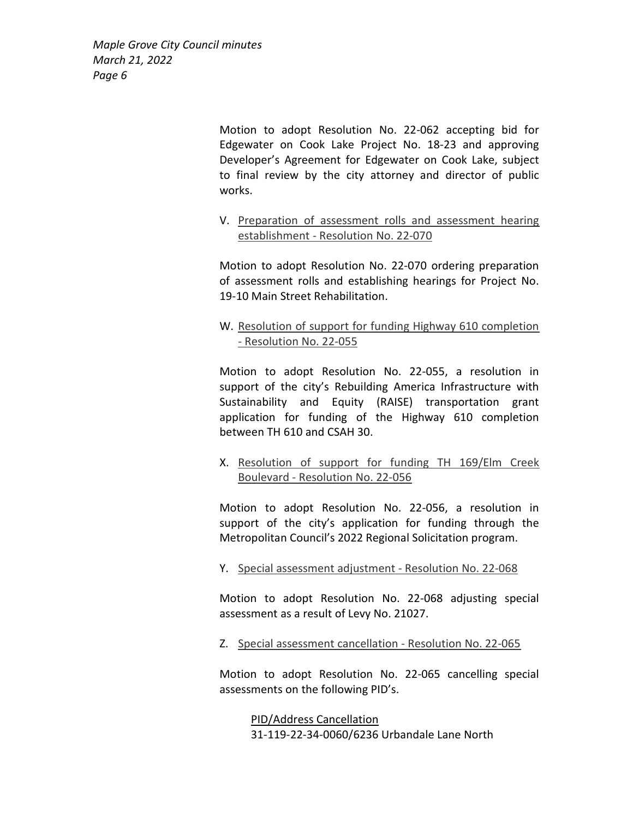> Motion to adopt Resolution No. 22-062 accepting bid for Edgewater on Cook Lake Project No. 18-23 and approving Developer's Agreement for Edgewater on Cook Lake, subject to final review by the city attorney and director of public works.

> V. Preparation of assessment rolls and assessment hearing establishment - Resolution No. 22-070

> Motion to adopt Resolution No. 22-070 ordering preparation of assessment rolls and establishing hearings for Project No. 19-10 Main Street Rehabilitation.

> W. Resolution of support for funding Highway 610 completion - Resolution No. 22-055

> Motion to adopt Resolution No. 22-055, a resolution in support of the city's Rebuilding America Infrastructure with Sustainability and Equity (RAISE) transportation grant application for funding of the Highway 610 completion between TH 610 and CSAH 30.

> X. Resolution of support for funding TH 169/Elm Creek Boulevard - Resolution No. 22-056

> Motion to adopt Resolution No. 22-056, a resolution in support of the city's application for funding through the Metropolitan Council's 2022 Regional Solicitation program.

Y. Special assessment adjustment - Resolution No. 22-068

Motion to adopt Resolution No. 22-068 adjusting special assessment as a result of Levy No. 21027.

Z. Special assessment cancellation - Resolution No. 22-065

Motion to adopt Resolution No. 22-065 cancelling special assessments on the following PID's.

> PID/Address Cancellation 31-119-22-34-0060/6236 Urbandale Lane North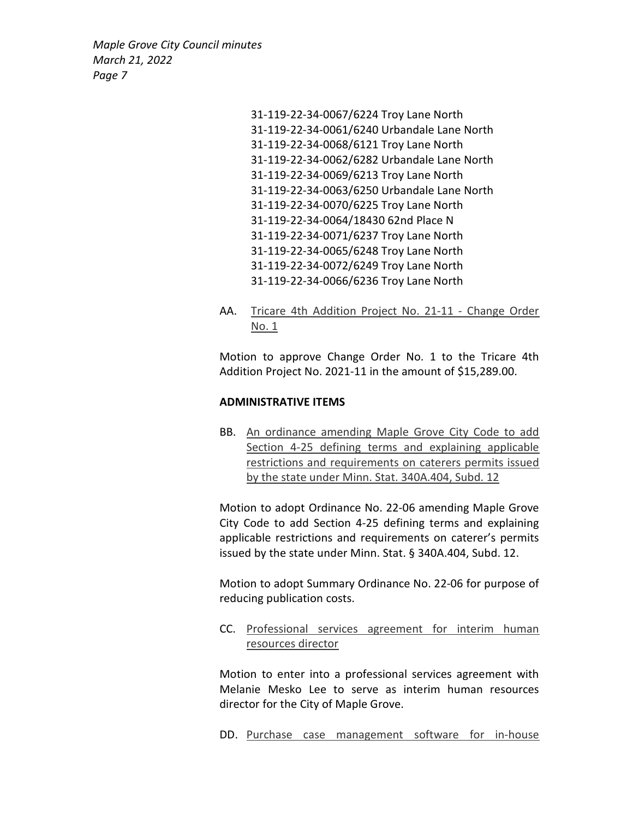> 31-119-22-34-0067/6224 Troy Lane North 31-119-22-34-0061/6240 Urbandale Lane North 31-119-22-34-0068/6121 Troy Lane North 31-119-22-34-0062/6282 Urbandale Lane North 31-119-22-34-0069/6213 Troy Lane North 31-119-22-34-0063/6250 Urbandale Lane North 31-119-22-34-0070/6225 Troy Lane North 31-119-22-34-0064/18430 62nd Place N 31-119-22-34-0071/6237 Troy Lane North 31-119-22-34-0065/6248 Troy Lane North 31-119-22-34-0072/6249 Troy Lane North 31-119-22-34-0066/6236 Troy Lane North

AA. Tricare 4th Addition Project No. 21-11 - Change Order No. 1

Motion to approve Change Order No. 1 to the Tricare 4th Addition Project No. 2021-11 in the amount of \$15,289.00.

### ADMINISTRATIVE ITEMS

BB. An ordinance amending Maple Grove City Code to add Section 4-25 defining terms and explaining applicable restrictions and requirements on caterers permits issued by the state under Minn. Stat. 340A.404, Subd. 12

Motion to adopt Ordinance No. 22-06 amending Maple Grove City Code to add Section 4-25 defining terms and explaining applicable restrictions and requirements on caterer's permits issued by the state under Minn. Stat. § 340A.404, Subd. 12.

Motion to adopt Summary Ordinance No. 22-06 for purpose of reducing publication costs.

CC. Professional services agreement for interim human resources director

Motion to enter into a professional services agreement with Melanie Mesko Lee to serve as interim human resources director for the City of Maple Grove.

DD. Purchase case management software for in-house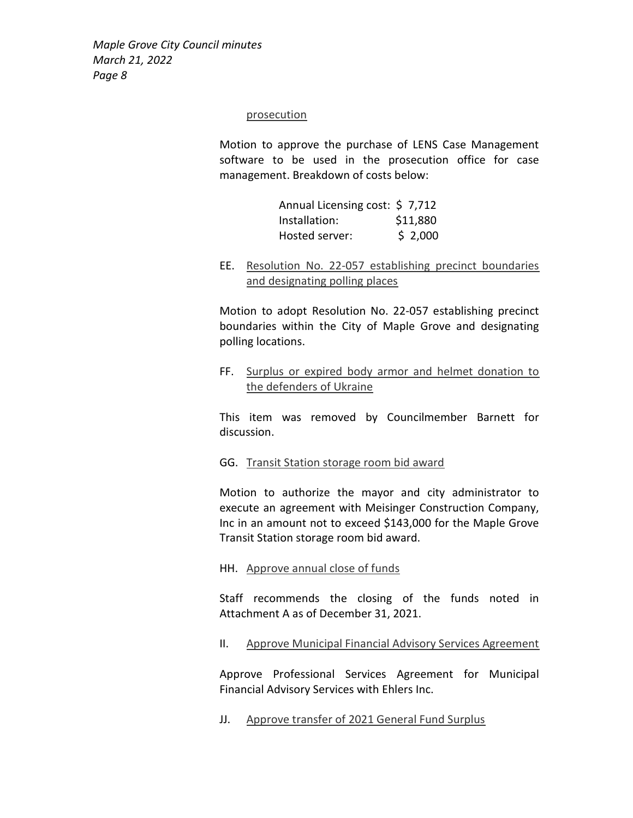#### prosecution

Motion to approve the purchase of LENS Case Management software to be used in the prosecution office for case management. Breakdown of costs below:

| Annual Licensing cost: \$7,712 |          |
|--------------------------------|----------|
| Installation:                  | \$11,880 |
| Hosted server:                 | \$2,000  |

EE. Resolution No. 22-057 establishing precinct boundaries and designating polling places

Motion to adopt Resolution No. 22-057 establishing precinct boundaries within the City of Maple Grove and designating polling locations.

FF. Surplus or expired body armor and helmet donation to the defenders of Ukraine

This item was removed by Councilmember Barnett for discussion.

GG. Transit Station storage room bid award

Motion to authorize the mayor and city administrator to execute an agreement with Meisinger Construction Company, Inc in an amount not to exceed \$143,000 for the Maple Grove Transit Station storage room bid award.

HH. Approve annual close of funds

Staff recommends the closing of the funds noted in Attachment A as of December 31, 2021.

II. Approve Municipal Financial Advisory Services Agreement

Approve Professional Services Agreement for Municipal Financial Advisory Services with Ehlers Inc.

JJ. Approve transfer of 2021 General Fund Surplus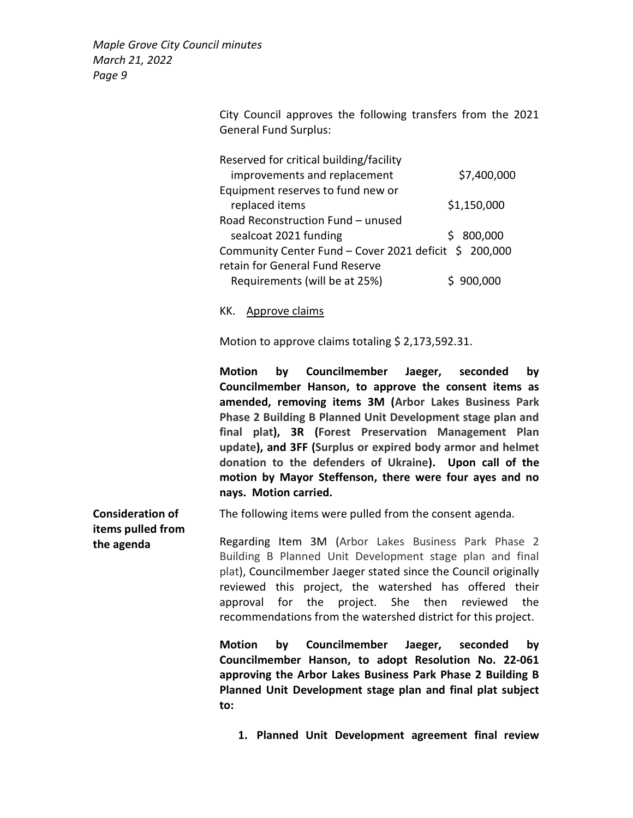Consideration of

City Council approves the following transfers from the 2021 General Fund Surplus:

| Reserved for critical building/facility               |             |
|-------------------------------------------------------|-------------|
| improvements and replacement                          | \$7,400,000 |
| Equipment reserves to fund new or                     |             |
| replaced items                                        | \$1,150,000 |
| Road Reconstruction Fund - unused                     |             |
| sealcoat 2021 funding                                 | \$800,000   |
| Community Center Fund - Cover 2021 deficit \$ 200,000 |             |
| retain for General Fund Reserve                       |             |
| Requirements (will be at 25%)                         | \$900,000   |

### KK. Approve claims

Motion to approve claims totaling \$ 2,173,592.31.

Motion by Councilmember Jaeger, seconded by Councilmember Hanson, to approve the consent items as amended, removing items 3M (Arbor Lakes Business Park Phase 2 Building B Planned Unit Development stage plan and final plat), 3R (Forest Preservation Management Plan update), and 3FF (Surplus or expired body armor and helmet donation to the defenders of Ukraine). Upon call of the motion by Mayor Steffenson, there were four ayes and no nays. Motion carried.

The following items were pulled from the consent agenda.

items pulled from the agenda Regarding Item 3M (Arbor Lakes Business Park Phase 2 Building B Planned Unit Development stage plan and final plat), Councilmember Jaeger stated since the Council originally reviewed this project, the watershed has offered their approval for the project. She then reviewed the recommendations from the watershed district for this project.

> Motion by Councilmember Jaeger, seconded by Councilmember Hanson, to adopt Resolution No. 22-061 approving the Arbor Lakes Business Park Phase 2 Building B Planned Unit Development stage plan and final plat subject to:

1. Planned Unit Development agreement final review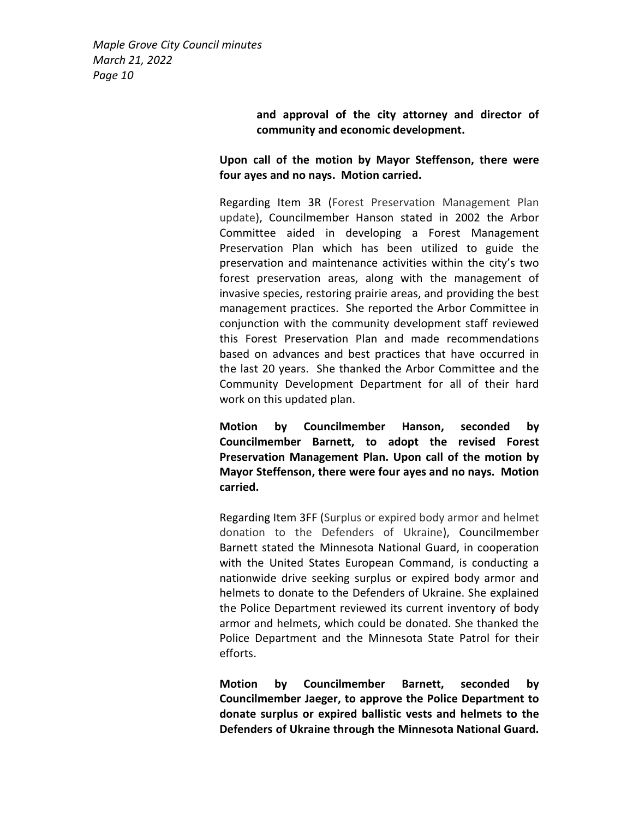> and approval of the city attorney and director of community and economic development.

Upon call of the motion by Mayor Steffenson, there were four ayes and no nays. Motion carried.

Regarding Item 3R (Forest Preservation Management Plan update), Councilmember Hanson stated in 2002 the Arbor Committee aided in developing a Forest Management Preservation Plan which has been utilized to guide the preservation and maintenance activities within the city's two forest preservation areas, along with the management of invasive species, restoring prairie areas, and providing the best management practices. She reported the Arbor Committee in conjunction with the community development staff reviewed this Forest Preservation Plan and made recommendations based on advances and best practices that have occurred in the last 20 years. She thanked the Arbor Committee and the Community Development Department for all of their hard work on this updated plan.

Motion by Councilmember Hanson, seconded by Councilmember Barnett, to adopt the revised Forest Preservation Management Plan. Upon call of the motion by Mayor Steffenson, there were four ayes and no nays. Motion carried.

Regarding Item 3FF (Surplus or expired body armor and helmet donation to the Defenders of Ukraine), Councilmember Barnett stated the Minnesota National Guard, in cooperation with the United States European Command, is conducting a nationwide drive seeking surplus or expired body armor and helmets to donate to the Defenders of Ukraine. She explained the Police Department reviewed its current inventory of body armor and helmets, which could be donated. She thanked the Police Department and the Minnesota State Patrol for their efforts.

Motion by Councilmember Barnett, seconded by Councilmember Jaeger, to approve the Police Department to donate surplus or expired ballistic vests and helmets to the Defenders of Ukraine through the Minnesota National Guard.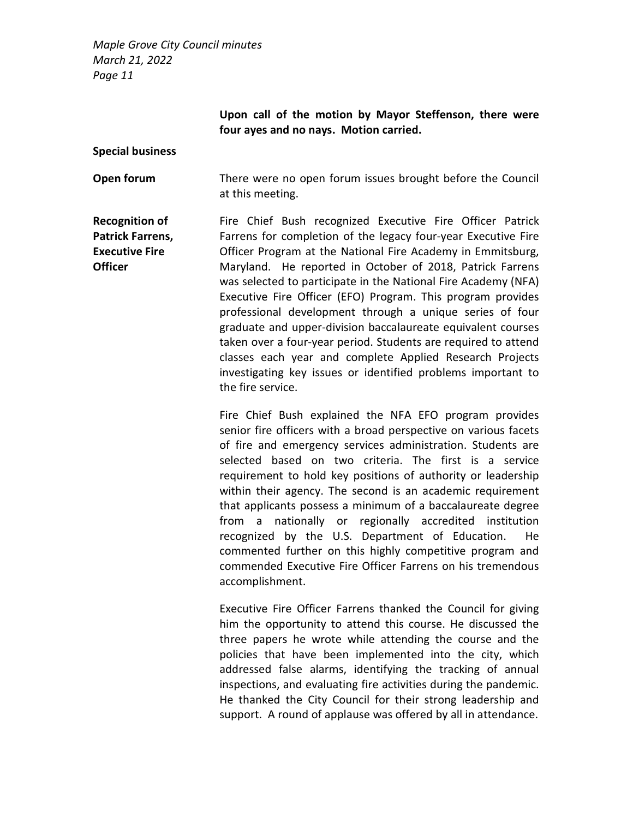> Upon call of the motion by Mayor Steffenson, there were four ayes and no nays. Motion carried.

#### Special business

**Open forum** There were no open forum issues brought before the Council at this meeting.

Recognition of Patrick Farrens, Executive Fire **Officer** Fire Chief Bush recognized Executive Fire Officer Patrick Farrens for completion of the legacy four-year Executive Fire Officer Program at the National Fire Academy in Emmitsburg, Maryland. He reported in October of 2018, Patrick Farrens was selected to participate in the National Fire Academy (NFA) Executive Fire Officer (EFO) Program. This program provides professional development through a unique series of four graduate and upper-division baccalaureate equivalent courses taken over a four-year period. Students are required to attend classes each year and complete Applied Research Projects investigating key issues or identified problems important to the fire service.

> Fire Chief Bush explained the NFA EFO program provides senior fire officers with a broad perspective on various facets of fire and emergency services administration. Students are selected based on two criteria. The first is a service requirement to hold key positions of authority or leadership within their agency. The second is an academic requirement that applicants possess a minimum of a baccalaureate degree from a nationally or regionally accredited institution recognized by the U.S. Department of Education. He commented further on this highly competitive program and commended Executive Fire Officer Farrens on his tremendous accomplishment.

> Executive Fire Officer Farrens thanked the Council for giving him the opportunity to attend this course. He discussed the three papers he wrote while attending the course and the policies that have been implemented into the city, which addressed false alarms, identifying the tracking of annual inspections, and evaluating fire activities during the pandemic. He thanked the City Council for their strong leadership and support. A round of applause was offered by all in attendance.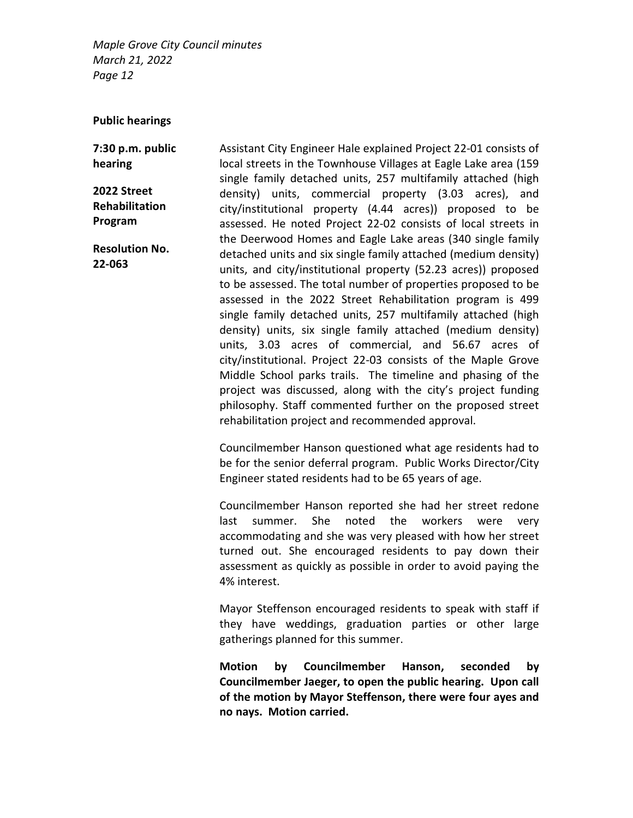#### Public hearings

7:30 p.m. public hearing

2022 Street Rehabilitation Program

Resolution No. 22-063

Assistant City Engineer Hale explained Project 22-01 consists of local streets in the Townhouse Villages at Eagle Lake area (159 single family detached units, 257 multifamily attached (high density) units, commercial property (3.03 acres), and city/institutional property (4.44 acres)) proposed to be assessed. He noted Project 22-02 consists of local streets in the Deerwood Homes and Eagle Lake areas (340 single family detached units and six single family attached (medium density) units, and city/institutional property (52.23 acres)) proposed to be assessed. The total number of properties proposed to be assessed in the 2022 Street Rehabilitation program is 499 single family detached units, 257 multifamily attached (high density) units, six single family attached (medium density) units, 3.03 acres of commercial, and 56.67 acres of city/institutional. Project 22-03 consists of the Maple Grove Middle School parks trails. The timeline and phasing of the project was discussed, along with the city's project funding philosophy. Staff commented further on the proposed street rehabilitation project and recommended approval.

Councilmember Hanson questioned what age residents had to be for the senior deferral program. Public Works Director/City Engineer stated residents had to be 65 years of age.

Councilmember Hanson reported she had her street redone last summer. She noted the workers were very accommodating and she was very pleased with how her street turned out. She encouraged residents to pay down their assessment as quickly as possible in order to avoid paying the 4% interest.

Mayor Steffenson encouraged residents to speak with staff if they have weddings, graduation parties or other large gatherings planned for this summer.

Motion by Councilmember Hanson, seconded by Councilmember Jaeger, to open the public hearing. Upon call of the motion by Mayor Steffenson, there were four ayes and no nays. Motion carried.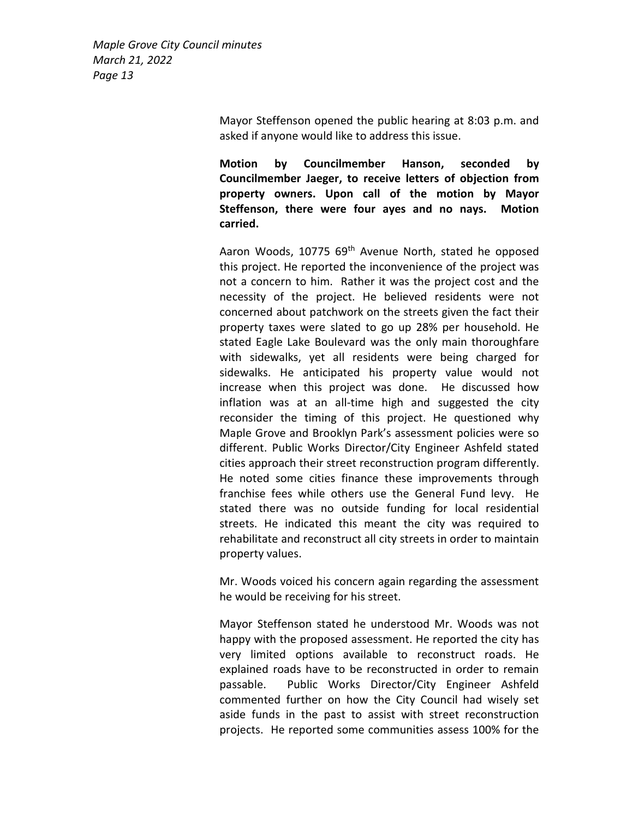> Mayor Steffenson opened the public hearing at 8:03 p.m. and asked if anyone would like to address this issue.

> Motion by Councilmember Hanson, seconded by Councilmember Jaeger, to receive letters of objection from property owners. Upon call of the motion by Mayor Steffenson, there were four ayes and no nays. Motion carried.

> Aaron Woods, 10775 69<sup>th</sup> Avenue North, stated he opposed this project. He reported the inconvenience of the project was not a concern to him. Rather it was the project cost and the necessity of the project. He believed residents were not concerned about patchwork on the streets given the fact their property taxes were slated to go up 28% per household. He stated Eagle Lake Boulevard was the only main thoroughfare with sidewalks, yet all residents were being charged for sidewalks. He anticipated his property value would not increase when this project was done. He discussed how inflation was at an all-time high and suggested the city reconsider the timing of this project. He questioned why Maple Grove and Brooklyn Park's assessment policies were so different. Public Works Director/City Engineer Ashfeld stated cities approach their street reconstruction program differently. He noted some cities finance these improvements through franchise fees while others use the General Fund levy. He stated there was no outside funding for local residential streets. He indicated this meant the city was required to rehabilitate and reconstruct all city streets in order to maintain property values.

> Mr. Woods voiced his concern again regarding the assessment he would be receiving for his street.

> Mayor Steffenson stated he understood Mr. Woods was not happy with the proposed assessment. He reported the city has very limited options available to reconstruct roads. He explained roads have to be reconstructed in order to remain passable. Public Works Director/City Engineer Ashfeld commented further on how the City Council had wisely set aside funds in the past to assist with street reconstruction projects. He reported some communities assess 100% for the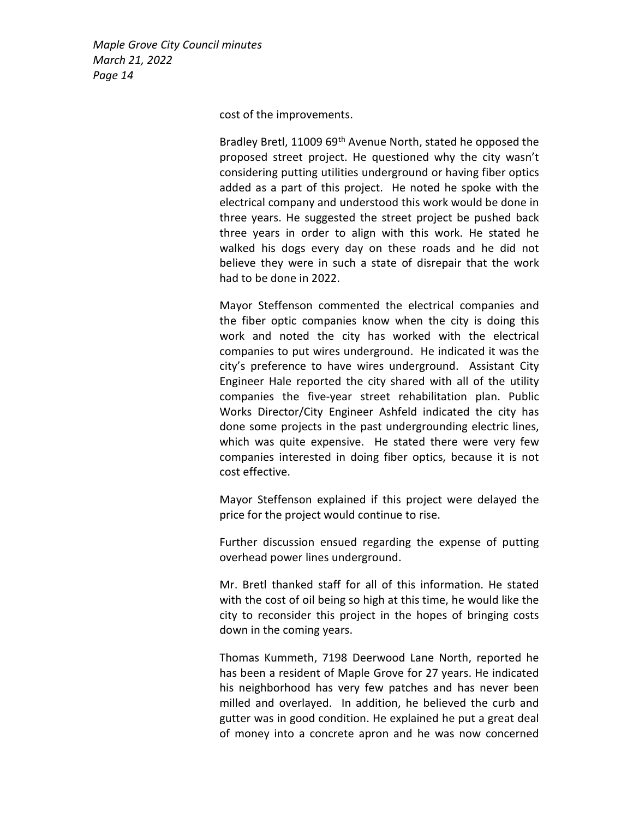cost of the improvements.

Bradley Bretl, 11009 69<sup>th</sup> Avenue North, stated he opposed the proposed street project. He questioned why the city wasn't considering putting utilities underground or having fiber optics added as a part of this project. He noted he spoke with the electrical company and understood this work would be done in three years. He suggested the street project be pushed back three years in order to align with this work. He stated he walked his dogs every day on these roads and he did not believe they were in such a state of disrepair that the work had to be done in 2022.

Mayor Steffenson commented the electrical companies and the fiber optic companies know when the city is doing this work and noted the city has worked with the electrical companies to put wires underground. He indicated it was the city's preference to have wires underground. Assistant City Engineer Hale reported the city shared with all of the utility companies the five-year street rehabilitation plan. Public Works Director/City Engineer Ashfeld indicated the city has done some projects in the past undergrounding electric lines, which was quite expensive. He stated there were very few companies interested in doing fiber optics, because it is not cost effective.

Mayor Steffenson explained if this project were delayed the price for the project would continue to rise.

Further discussion ensued regarding the expense of putting overhead power lines underground.

Mr. Bretl thanked staff for all of this information. He stated with the cost of oil being so high at this time, he would like the city to reconsider this project in the hopes of bringing costs down in the coming years.

Thomas Kummeth, 7198 Deerwood Lane North, reported he has been a resident of Maple Grove for 27 years. He indicated his neighborhood has very few patches and has never been milled and overlayed. In addition, he believed the curb and gutter was in good condition. He explained he put a great deal of money into a concrete apron and he was now concerned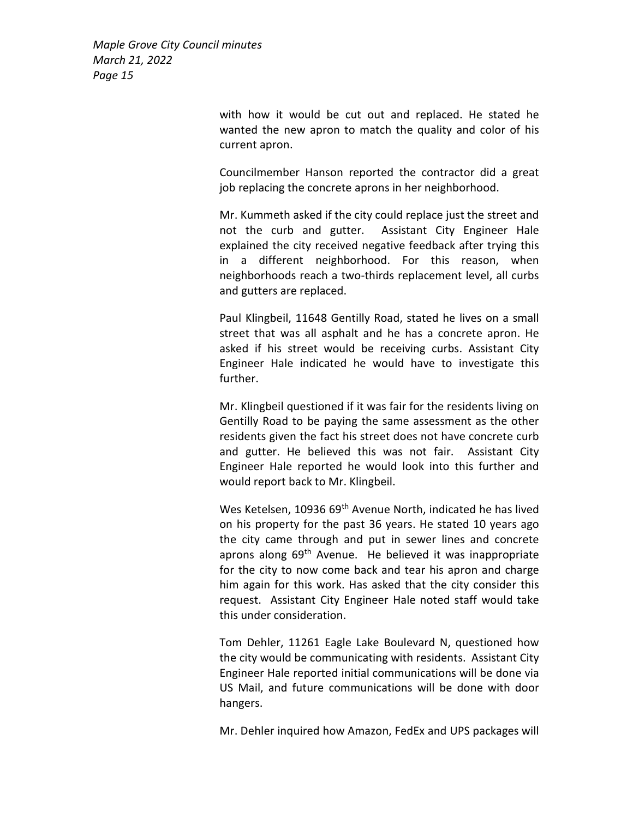> with how it would be cut out and replaced. He stated he wanted the new apron to match the quality and color of his current apron.

> Councilmember Hanson reported the contractor did a great job replacing the concrete aprons in her neighborhood.

> Mr. Kummeth asked if the city could replace just the street and not the curb and gutter. Assistant City Engineer Hale explained the city received negative feedback after trying this in a different neighborhood. For this reason, when neighborhoods reach a two-thirds replacement level, all curbs and gutters are replaced.

> Paul Klingbeil, 11648 Gentilly Road, stated he lives on a small street that was all asphalt and he has a concrete apron. He asked if his street would be receiving curbs. Assistant City Engineer Hale indicated he would have to investigate this further.

> Mr. Klingbeil questioned if it was fair for the residents living on Gentilly Road to be paying the same assessment as the other residents given the fact his street does not have concrete curb and gutter. He believed this was not fair. Assistant City Engineer Hale reported he would look into this further and would report back to Mr. Klingbeil.

> Wes Ketelsen, 10936 69<sup>th</sup> Avenue North, indicated he has lived on his property for the past 36 years. He stated 10 years ago the city came through and put in sewer lines and concrete aprons along 69<sup>th</sup> Avenue. He believed it was inappropriate for the city to now come back and tear his apron and charge him again for this work. Has asked that the city consider this request. Assistant City Engineer Hale noted staff would take this under consideration.

> Tom Dehler, 11261 Eagle Lake Boulevard N, questioned how the city would be communicating with residents. Assistant City Engineer Hale reported initial communications will be done via US Mail, and future communications will be done with door hangers.

> Mr. Dehler inquired how Amazon, FedEx and UPS packages will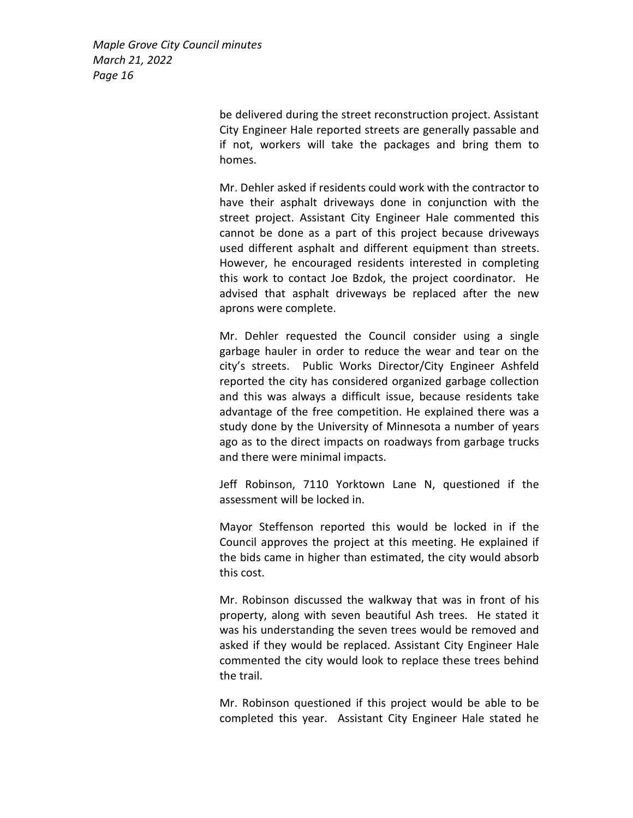> be delivered during the street reconstruction project. Assistant City Engineer Hale reported streets are generally passable and if not, workers will take the packages and bring them to homes.

> Mr. Dehler asked if residents could work with the contractor to have their asphalt driveways done in conjunction with the street project. Assistant City Engineer Hale commented this cannot be done as a part of this project because driveways used different asphalt and different equipment than streets. However, he encouraged residents interested in completing this work to contact Joe Bzdok, the project coordinator. He advised that asphalt driveways be replaced after the new aprons were complete.

> Mr. Dehler requested the Council consider using a single garbage hauler in order to reduce the wear and tear on the city's streets. Public Works Director/City Engineer Ashfeld reported the city has considered organized garbage collection and this was always a difficult issue, because residents take advantage of the free competition. He explained there was a study done by the University of Minnesota a number of years ago as to the direct impacts on roadways from garbage trucks and there were minimal impacts.

> Jeff Robinson, 7110 Yorktown Lane N, questioned if the assessment will be locked in.

> Mayor Steffenson reported this would be locked in if the Council approves the project at this meeting. He explained if the bids came in higher than estimated, the city would absorb this cost.

> Mr. Robinson discussed the walkway that was in front of his property, along with seven beautiful Ash trees. He stated it was his understanding the seven trees would be removed and asked if they would be replaced. Assistant City Engineer Hale commented the city would look to replace these trees behind the trail.

> Mr. Robinson questioned if this project would be able to be completed this year. Assistant City Engineer Hale stated he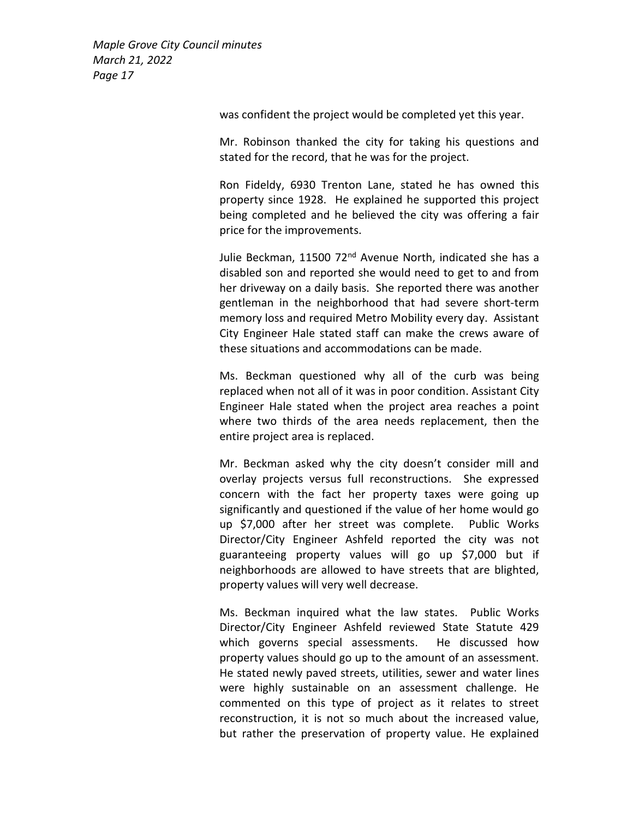was confident the project would be completed yet this year.

Mr. Robinson thanked the city for taking his questions and stated for the record, that he was for the project.

Ron Fideldy, 6930 Trenton Lane, stated he has owned this property since 1928. He explained he supported this project being completed and he believed the city was offering a fair price for the improvements.

Julie Beckman, 11500 72<sup>nd</sup> Avenue North, indicated she has a disabled son and reported she would need to get to and from her driveway on a daily basis. She reported there was another gentleman in the neighborhood that had severe short-term memory loss and required Metro Mobility every day. Assistant City Engineer Hale stated staff can make the crews aware of these situations and accommodations can be made.

Ms. Beckman questioned why all of the curb was being replaced when not all of it was in poor condition. Assistant City Engineer Hale stated when the project area reaches a point where two thirds of the area needs replacement, then the entire project area is replaced.

Mr. Beckman asked why the city doesn't consider mill and overlay projects versus full reconstructions. She expressed concern with the fact her property taxes were going up significantly and questioned if the value of her home would go up \$7,000 after her street was complete. Public Works Director/City Engineer Ashfeld reported the city was not guaranteeing property values will go up \$7,000 but if neighborhoods are allowed to have streets that are blighted, property values will very well decrease.

Ms. Beckman inquired what the law states. Public Works Director/City Engineer Ashfeld reviewed State Statute 429 which governs special assessments. He discussed how property values should go up to the amount of an assessment. He stated newly paved streets, utilities, sewer and water lines were highly sustainable on an assessment challenge. He commented on this type of project as it relates to street reconstruction, it is not so much about the increased value, but rather the preservation of property value. He explained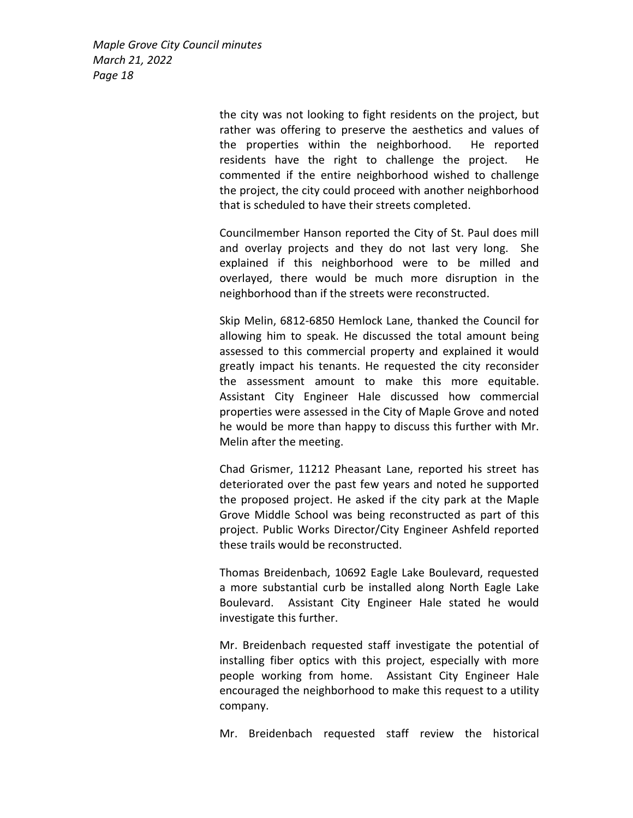> the city was not looking to fight residents on the project, but rather was offering to preserve the aesthetics and values of the properties within the neighborhood. He reported residents have the right to challenge the project. He commented if the entire neighborhood wished to challenge the project, the city could proceed with another neighborhood that is scheduled to have their streets completed.

> Councilmember Hanson reported the City of St. Paul does mill and overlay projects and they do not last very long. She explained if this neighborhood were to be milled and overlayed, there would be much more disruption in the neighborhood than if the streets were reconstructed.

> Skip Melin, 6812-6850 Hemlock Lane, thanked the Council for allowing him to speak. He discussed the total amount being assessed to this commercial property and explained it would greatly impact his tenants. He requested the city reconsider the assessment amount to make this more equitable. Assistant City Engineer Hale discussed how commercial properties were assessed in the City of Maple Grove and noted he would be more than happy to discuss this further with Mr. Melin after the meeting.

> Chad Grismer, 11212 Pheasant Lane, reported his street has deteriorated over the past few years and noted he supported the proposed project. He asked if the city park at the Maple Grove Middle School was being reconstructed as part of this project. Public Works Director/City Engineer Ashfeld reported these trails would be reconstructed.

> Thomas Breidenbach, 10692 Eagle Lake Boulevard, requested a more substantial curb be installed along North Eagle Lake Boulevard. Assistant City Engineer Hale stated he would investigate this further.

> Mr. Breidenbach requested staff investigate the potential of installing fiber optics with this project, especially with more people working from home. Assistant City Engineer Hale encouraged the neighborhood to make this request to a utility company.

> Mr. Breidenbach requested staff review the historical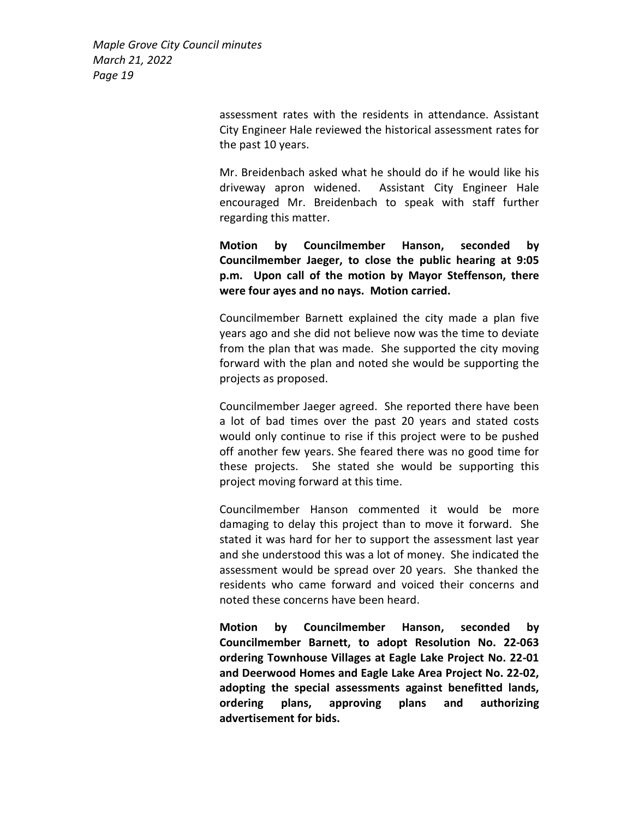> assessment rates with the residents in attendance. Assistant City Engineer Hale reviewed the historical assessment rates for the past 10 years.

> Mr. Breidenbach asked what he should do if he would like his driveway apron widened. Assistant City Engineer Hale encouraged Mr. Breidenbach to speak with staff further regarding this matter.

> Motion by Councilmember Hanson, seconded by Councilmember Jaeger, to close the public hearing at 9:05 p.m. Upon call of the motion by Mayor Steffenson, there were four ayes and no nays. Motion carried.

> Councilmember Barnett explained the city made a plan five years ago and she did not believe now was the time to deviate from the plan that was made. She supported the city moving forward with the plan and noted she would be supporting the projects as proposed.

> Councilmember Jaeger agreed. She reported there have been a lot of bad times over the past 20 years and stated costs would only continue to rise if this project were to be pushed off another few years. She feared there was no good time for these projects. She stated she would be supporting this project moving forward at this time.

> Councilmember Hanson commented it would be more damaging to delay this project than to move it forward. She stated it was hard for her to support the assessment last year and she understood this was a lot of money. She indicated the assessment would be spread over 20 years. She thanked the residents who came forward and voiced their concerns and noted these concerns have been heard.

> Motion by Councilmember Hanson, seconded by Councilmember Barnett, to adopt Resolution No. 22-063 ordering Townhouse Villages at Eagle Lake Project No. 22-01 and Deerwood Homes and Eagle Lake Area Project No. 22-02, adopting the special assessments against benefitted lands, ordering plans, approving plans and authorizing advertisement for bids.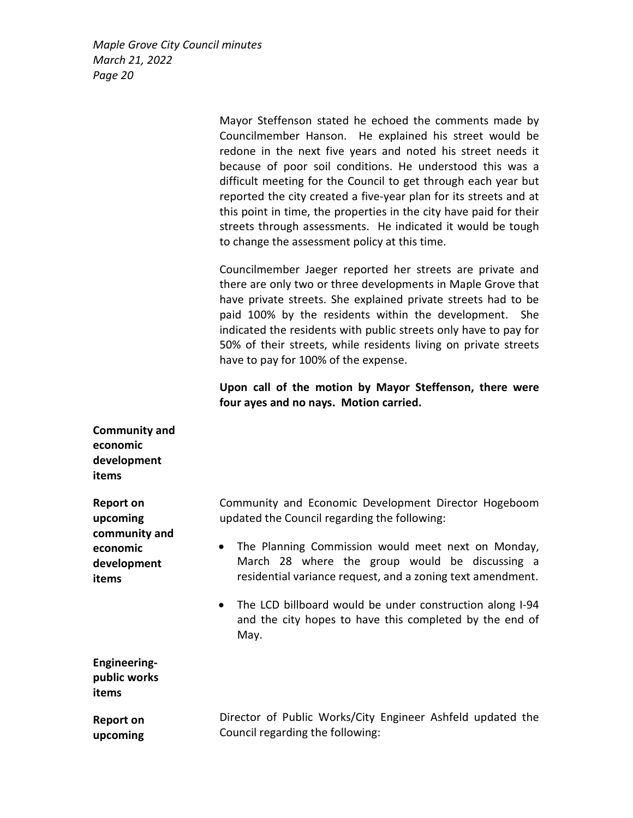> Mayor Steffenson stated he echoed the comments made by Councilmember Hanson. He explained his street would be redone in the next five years and noted his street needs it because of poor soil conditions. He understood this was a difficult meeting for the Council to get through each year but reported the city created a five-year plan for its streets and at this point in time, the properties in the city have paid for their streets through assessments. He indicated it would be tough to change the assessment policy at this time.

> Councilmember Jaeger reported her streets are private and there are only two or three developments in Maple Grove that have private streets. She explained private streets had to be paid 100% by the residents within the development. She indicated the residents with public streets only have to pay for 50% of their streets, while residents living on private streets have to pay for 100% of the expense.

> Upon call of the motion by Mayor Steffenson, there were four ayes and no nays. Motion carried.

| <b>Community and</b><br>economic<br>development<br>items |                                                                                                                                                                                 |
|----------------------------------------------------------|---------------------------------------------------------------------------------------------------------------------------------------------------------------------------------|
| Report on<br>upcoming<br>community and                   | Community and Economic Development Director Hogeboom<br>updated the Council regarding the following:                                                                            |
| economic<br>development<br>items                         | The Planning Commission would meet next on Monday,<br>$\bullet$<br>March 28 where the group would be discussing a<br>residential variance request, and a zoning text amendment. |
|                                                          | The LCD billboard would be under construction along I-94<br>and the city hopes to have this completed by the end of<br>May.                                                     |
| <b>Engineering-</b><br>public works<br>items             |                                                                                                                                                                                 |
| <b>Report on</b><br>upcoming                             | Director of Public Works/City Engineer Ashfeld updated the<br>Council regarding the following:                                                                                  |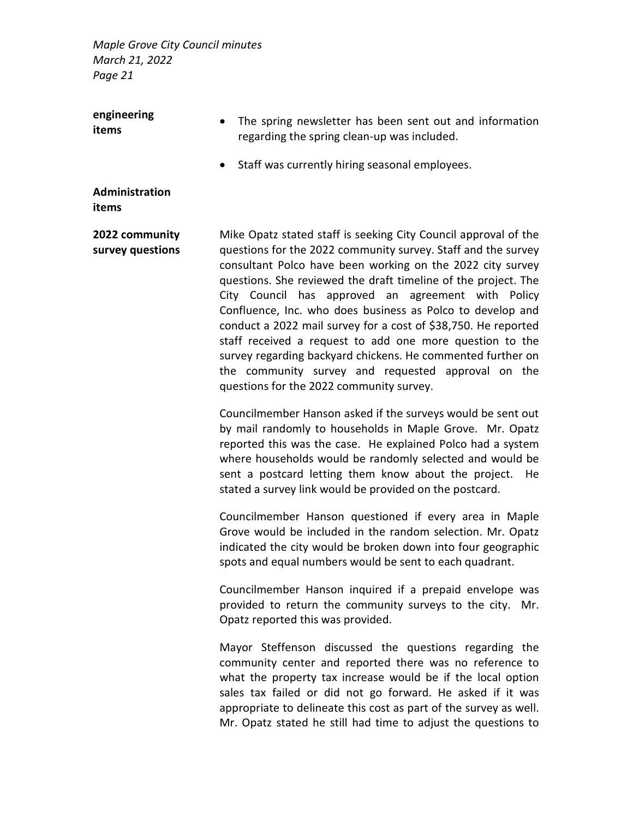| engineering<br>items               | The spring newsletter has been sent out and information<br>regarding the spring clean-up was included.                                                                                                                                                                                                                                                                                                                                                                                                                                                                                                                                                                              |
|------------------------------------|-------------------------------------------------------------------------------------------------------------------------------------------------------------------------------------------------------------------------------------------------------------------------------------------------------------------------------------------------------------------------------------------------------------------------------------------------------------------------------------------------------------------------------------------------------------------------------------------------------------------------------------------------------------------------------------|
|                                    | Staff was currently hiring seasonal employees.                                                                                                                                                                                                                                                                                                                                                                                                                                                                                                                                                                                                                                      |
| Administration<br>items            |                                                                                                                                                                                                                                                                                                                                                                                                                                                                                                                                                                                                                                                                                     |
| 2022 community<br>survey questions | Mike Opatz stated staff is seeking City Council approval of the<br>questions for the 2022 community survey. Staff and the survey<br>consultant Polco have been working on the 2022 city survey<br>questions. She reviewed the draft timeline of the project. The<br>City Council has approved an agreement with Policy<br>Confluence, Inc. who does business as Polco to develop and<br>conduct a 2022 mail survey for a cost of \$38,750. He reported<br>staff received a request to add one more question to the<br>survey regarding backyard chickens. He commented further on<br>the community survey and requested approval on the<br>questions for the 2022 community survey. |
|                                    | Councilmember Hanson asked if the surveys would be sent out<br>by mail randomly to households in Maple Grove. Mr. Opatz<br>reported this was the case. He explained Polco had a system<br>where households would be randomly selected and would be<br>sent a postcard letting them know about the project.<br>He<br>stated a survey link would be provided on the postcard.                                                                                                                                                                                                                                                                                                         |
|                                    | Councilmember Hanson questioned if every area in Maple<br>Grove would be included in the random selection. Mr. Opatz<br>indicated the city would be broken down into four geographic<br>spots and equal numbers would be sent to each quadrant.                                                                                                                                                                                                                                                                                                                                                                                                                                     |
|                                    | Councilmember Hanson inquired if a prepaid envelope was<br>provided to return the community surveys to the city.<br>Mr.<br>Opatz reported this was provided.                                                                                                                                                                                                                                                                                                                                                                                                                                                                                                                        |
|                                    | Mayor Steffenson discussed the questions regarding the<br>community center and reported there was no reference to<br>what the property tax increase would be if the local option<br>sales tax failed or did not go forward. He asked if it was<br>appropriate to delineate this cost as part of the survey as well.<br>Mr. Opatz stated he still had time to adjust the questions to                                                                                                                                                                                                                                                                                                |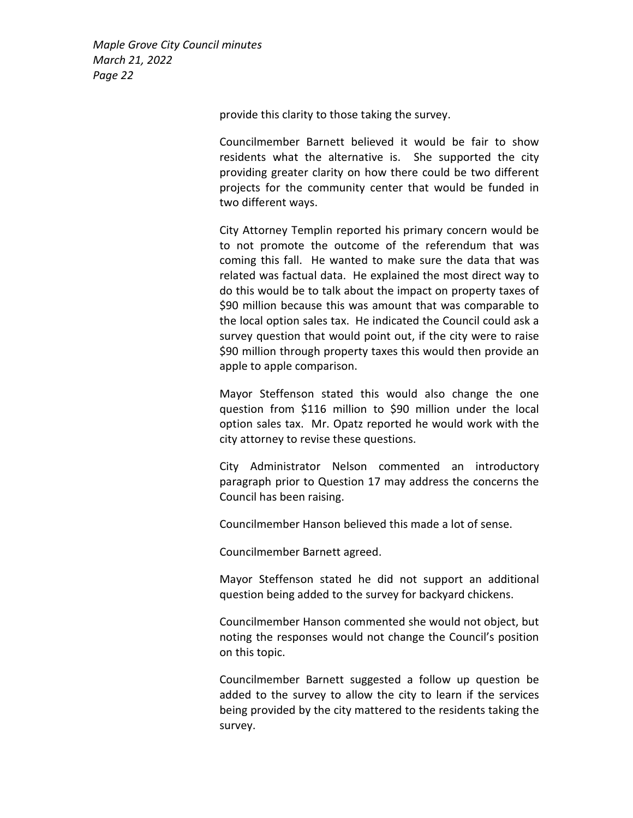provide this clarity to those taking the survey.

Councilmember Barnett believed it would be fair to show residents what the alternative is. She supported the city providing greater clarity on how there could be two different projects for the community center that would be funded in two different ways.

City Attorney Templin reported his primary concern would be to not promote the outcome of the referendum that was coming this fall. He wanted to make sure the data that was related was factual data. He explained the most direct way to do this would be to talk about the impact on property taxes of \$90 million because this was amount that was comparable to the local option sales tax. He indicated the Council could ask a survey question that would point out, if the city were to raise \$90 million through property taxes this would then provide an apple to apple comparison.

Mayor Steffenson stated this would also change the one question from \$116 million to \$90 million under the local option sales tax. Mr. Opatz reported he would work with the city attorney to revise these questions.

City Administrator Nelson commented an introductory paragraph prior to Question 17 may address the concerns the Council has been raising.

Councilmember Hanson believed this made a lot of sense.

Councilmember Barnett agreed.

Mayor Steffenson stated he did not support an additional question being added to the survey for backyard chickens.

Councilmember Hanson commented she would not object, but noting the responses would not change the Council's position on this topic.

Councilmember Barnett suggested a follow up question be added to the survey to allow the city to learn if the services being provided by the city mattered to the residents taking the survey.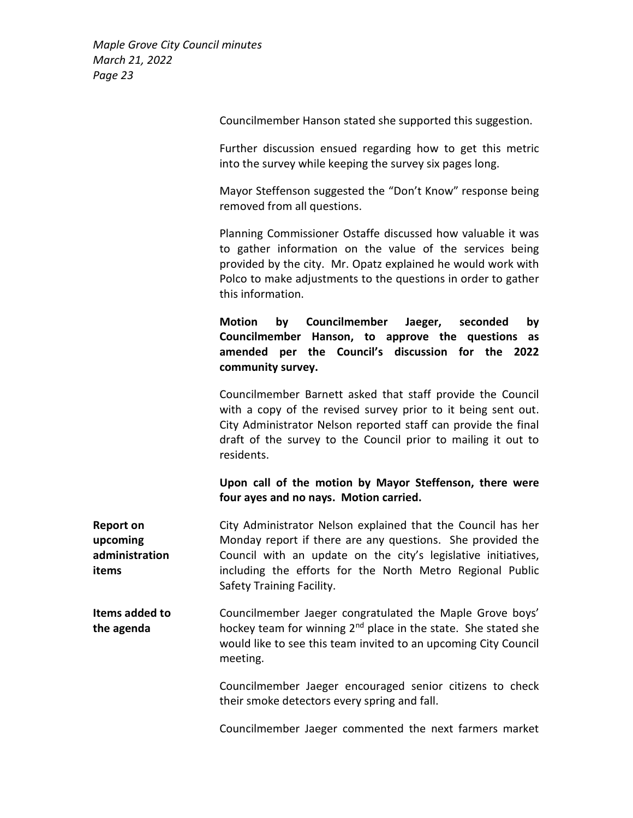Councilmember Hanson stated she supported this suggestion.

Further discussion ensued regarding how to get this metric into the survey while keeping the survey six pages long.

Mayor Steffenson suggested the "Don't Know" response being removed from all questions.

Planning Commissioner Ostaffe discussed how valuable it was to gather information on the value of the services being provided by the city. Mr. Opatz explained he would work with Polco to make adjustments to the questions in order to gather this information.

Motion by Councilmember Jaeger, seconded by Councilmember Hanson, to approve the questions as amended per the Council's discussion for the 2022 community survey.

Councilmember Barnett asked that staff provide the Council with a copy of the revised survey prior to it being sent out. City Administrator Nelson reported staff can provide the final draft of the survey to the Council prior to mailing it out to residents.

# Upon call of the motion by Mayor Steffenson, there were four ayes and no nays. Motion carried.

Report on upcoming administration items City Administrator Nelson explained that the Council has her Monday report if there are any questions. She provided the Council with an update on the city's legislative initiatives, including the efforts for the North Metro Regional Public Safety Training Facility.

Items added to the agenda Councilmember Jaeger congratulated the Maple Grove boys' hockey team for winning 2<sup>nd</sup> place in the state. She stated she would like to see this team invited to an upcoming City Council meeting.

> Councilmember Jaeger encouraged senior citizens to check their smoke detectors every spring and fall.

> Councilmember Jaeger commented the next farmers market